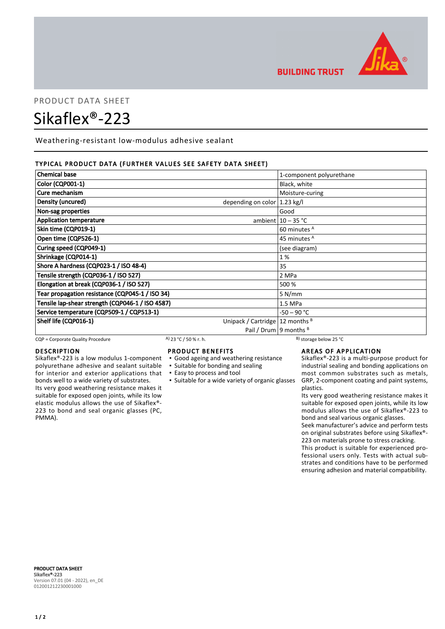

**BUILDING TRUST** 

# PRODUCT DATA SHEET Sikaflex®-223

Weathering-resistant low-modulus adhesive sealant

# TYPICAL PRODUCT DATA (FURTHER VALUES SEE SAFETY DATA SHEET)

| <b>Chemical base</b>                                                  | 1-component polyurethane   |  |
|-----------------------------------------------------------------------|----------------------------|--|
| Color (CQP001-1)                                                      | Black, white               |  |
| Cure mechanism                                                        | Moisture-curing            |  |
| Density (uncured)<br>depending on color $ 1.23 \text{ kg}/I$          |                            |  |
| Non-sag properties                                                    | Good                       |  |
| <b>Application temperature</b>                                        | ambient $10 - 35$ °C       |  |
| Skin time (CQP019-1)                                                  | 60 minutes <sup>A</sup>    |  |
| Open time (CQP526-1)                                                  | 45 minutes <sup>A</sup>    |  |
| Curing speed (CQP049-1)                                               | (see diagram)              |  |
| Shrinkage (CQP014-1)                                                  | 1 %                        |  |
| Shore A hardness (CQP023-1 / ISO 48-4)                                | 35                         |  |
| Tensile strength (CQP036-1 / ISO 527)                                 | 2 MPa                      |  |
| Elongation at break (CQP036-1 / ISO 527)                              | 500 %                      |  |
| Tear propagation resistance (CQP045-1 / ISO 34)                       | 5 N/mm                     |  |
| Tensile lap-shear strength (CQP046-1 / ISO 4587)                      | 1.5 MPa                    |  |
| Service temperature (CQP509-1 / CQP513-1)                             | -50 – 90 °C                |  |
| Shelf life (CQP016-1)<br>Unipack / Cartridge   12 months <sup>B</sup> |                            |  |
|                                                                       | Pail / Drum   9 months $B$ |  |

CQP = Corporate Quality Procedure A) 23 °C / 50 % r. h.

# DESCRIPTION

Sikaflex®-223 is a low modulus 1-component polyurethane adhesive and sealant suitable for interior and exterior applications that bonds well to a wide variety of substrates. Its very good weathering resistance makes it suitable for exposed open joints, while its low elastic modulus allows the use of Sikaflex®- 223 to bond and seal organic glasses (PC, PMMA).

# PRODUCT BENEFITS

- Good ageing and weathering resistance
- Suitable for bonding and sealing
- Easy to process and tool
- 

**EXECT:** Suitable for a wide variety of organic glasses

# AREAS OF APPLICATION

Sikaflex®-223 is a multi-purpose product for industrial sealing and bonding applications on most common substrates such as metals, GRP, 2-component coating and paint systems, plastics.

Its very good weathering resistance makes it suitable for exposed open joints, while its low modulus allows the use of Sikaflex®-223 to bond and seal various organic glasses.

Seek manufacturer's advice and perform tests on original substrates before using Sikaflex®- 223 on materials prone to stress cracking.

This product is suitable for experienced professional users only. Tests with actual substrates and conditions have to be performed ensuring adhesion and material compatibility.

PRODUCT DATA SHEET Sikaflex®-223 Version 07.01 (04 - 2022), en\_DE 012001212230001000